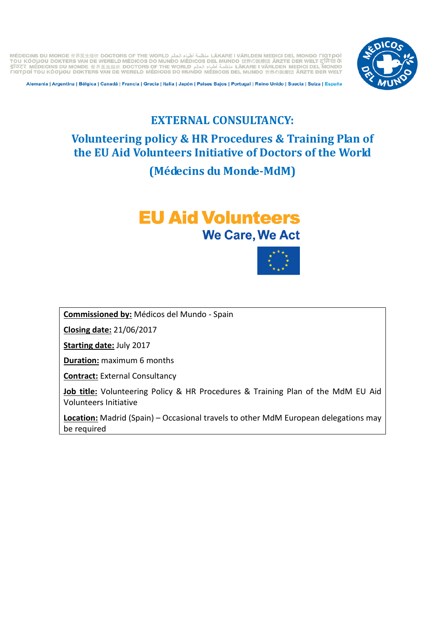LÄKARE I VÄRLDEN MEDICI DEL MONDO FIQTPOÍ منظمة أطباء العالم العالم DAKARE I VÄRLDEN MEDICI DEL MONDO FIQTPOÍ mou Kóouou dokters van de Wereld Médicos do Mundo Médicos del Mundo 世界の医療団 ÄRZTE der Welt दुनिया के تنظمة أطباء الحال (Tou Kóouou dokters van de Wereld Médicos do Mundo Médicos del Mundo #界の医療団 ÄRZTE der Welt दुनिया के<br>अ TIGTORI TOU KOGUOU DOKTERS VAN DE WERELD MÉDICOS DO MUNDO MÉDICOS DEL MUNDO TRATEDER WELT



Alemania | Argentina | Bélgica | Canadá | Francia | Grecia | Italia | Japón | Países Bajos | Portugal | Reino Unido | Suecia | Suiza | España

## **EXTERNAL CONSULTANCY: Volunteering policy & HR Procedures & Training Plan of the EU Aid Volunteers Initiative of Doctors of the World (Médecins du Monde-MdM)**

# **EU Aid Volunteers We Care, We Act**



**Commissioned by:** Médicos del Mundo - Spain

**Closing date:** 21/06/2017

**Starting date:** July 2017

**Duration:** maximum 6 months

**Contract:** External Consultancy

**Job title:** Volunteering Policy & HR Procedures & Training Plan of the MdM EU Aid Volunteers Initiative

**Location:** Madrid (Spain) – Occasional travels to other MdM European delegations may be required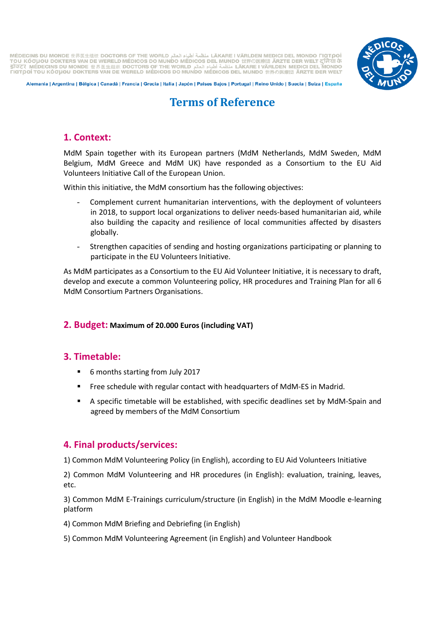LÄKARE I VÄRLDEN MEDICI DEL MONDO FIGTOOÍ المنظمة أطباء العالم عليه العالم العام (AKARE I VÄRLDEN MEDICI DEL MONDO FIGTOOÍ TOU KOOµOU DOKTERS VAN DE WERELD MÉDICOS DO MUNDO MÉDICOS DEL MUNDO 世界の医療団 ÄRZTE DER WELT द TIGTOOI TOU KOGUOU DOKTERS VAN DE WERELD MÉDICOS DO MUNDO MÉDICOS DEL MUNDO 世界の医療団 ÄRZTE DER WELT



Alemania | Argentina | Bélgica | Canadá | Francia | Grecia | Italia | Japón | Países Bajos | Portugal | Reino Unido | Suecia | Suiza | España

## **Terms of Reference**

## **1. Context:**

MdM Spain together with its European partners (MdM Netherlands, MdM Sweden, MdM Belgium, MdM Greece and MdM UK) have responded as a Consortium to the EU Aid Volunteers Initiative Call of the European Union.

Within this initiative, the MdM consortium has the following objectives:

- Complement current humanitarian interventions, with the deployment of volunteers in 2018, to support local organizations to deliver needs-based humanitarian aid, while also building the capacity and resilience of local communities affected by disasters globally.
- Strengthen capacities of sending and hosting organizations participating or planning to participate in the EU Volunteers Initiative.

As MdM participates as a Consortium to the EU Aid Volunteer Initiative, it is necessary to draft, develop and execute a common Volunteering policy, HR procedures and Training Plan for all 6 MdM Consortium Partners Organisations.

#### **2. Budget: Maximum of 20.000 Euros (including VAT)**

## **3. Timetable:**

- 6 months starting from July 2017
- Free schedule with regular contact with headquarters of MdM-ES in Madrid.
- A specific timetable will be established, with specific deadlines set by MdM-Spain and agreed by members of the MdM Consortium

## **4. Final products/services:**

1) Common MdM Volunteering Policy (in English), according to EU Aid Volunteers Initiative

2) Common MdM Volunteering and HR procedures (in English): evaluation, training, leaves, etc.

3) Common MdM E-Trainings curriculum/structure (in English) in the MdM Moodle e-learning platform

- 4) Common MdM Briefing and Debriefing (in English)
- 5) Common MdM Volunteering Agreement (in English) and Volunteer Handbook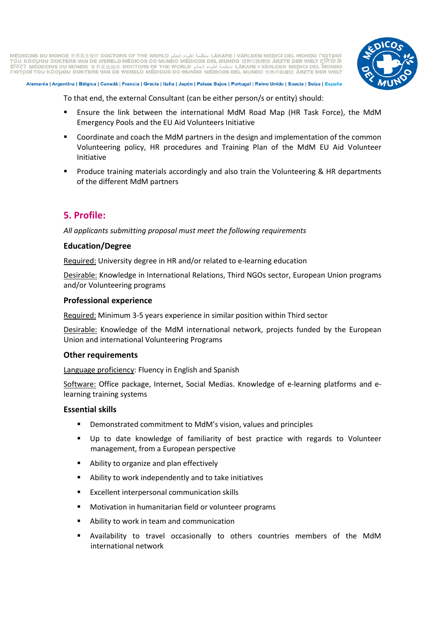LÄKARE I VÄRLDEN MEDICI DEL MONDO FIGTOOÍ المنظمة أطباء العالم عليه العالم العام (AKARE I VÄRLDEN MEDICI DEL MONDO FIGTOOÍ TOU KOOLIOU DOKTERS VAN DE WERELD MÉDICOS DO MUNDO MÉDICOS DEL MUNDO 世界の医療団 ÄRZTE DER WELT Q TIGTOOI TOU KOGUOU DOKTERS VAN DE WERELD MÉDICOS DO MUNDO MÉDICOS DEL MUNDO 世界の医療団 ARZTE DER WELT



Alemania | Argentina | Bélgica | Canadá | Francia | Grecia | Italia | Japón | Países Bajos | Portugal | Reino Unido | Suecia | Suiza | España

To that end, the external Consultant (can be either person/s or entity) should:

- Ensure the link between the international MdM Road Map (HR Task Force), the MdM Emergency Pools and the EU Aid Volunteers Initiative
- **Coordinate and coach the MdM partners in the design and implementation of the common** Volunteering policy, HR procedures and Training Plan of the MdM EU Aid Volunteer Initiative
- **Produce training materials accordingly and also train the Volunteering & HR departments** of the different MdM partners

## **5. Profile:**

*All applicants submitting proposal must meet the following requirements*

#### **Education/Degree**

Required: University degree in HR and/or related to e-learning education

Desirable: Knowledge in International Relations, Third NGOs sector, European Union programs and/or Volunteering programs

#### **Professional experience**

Required: Minimum 3-5 years experience in similar position within Third sector

Desirable: Knowledge of the MdM international network, projects funded by the European Union and international Volunteering Programs

#### **Other requirements**

Language proficiency: Fluency in English and Spanish

Software: Office package, Internet, Social Medias. Knowledge of e-learning platforms and elearning training systems

#### **Essential skills**

- Demonstrated commitment to MdM's vision, values and principles
- Up to date knowledge of familiarity of best practice with regards to Volunteer management, from a European perspective
- Ability to organize and plan effectively
- Ability to work independently and to take initiatives
- **Excellent interpersonal communication skills**
- Motivation in humanitarian field or volunteer programs
- Ability to work in team and communication
- Availability to travel occasionally to others countries members of the MdM international network